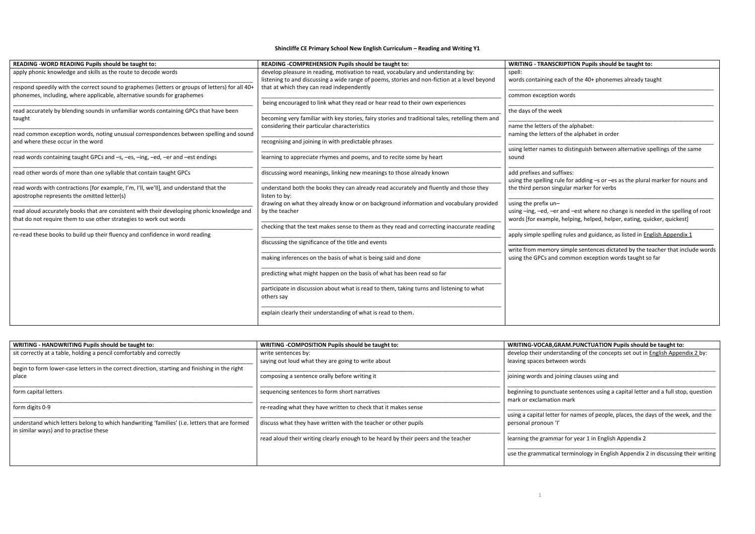## **READING BEADING BE TAUGHT TO: READING BETA**

## **Shincliffe CE Primary School New English Curriculum – Reading and Writing Y1**

| READING - WORD READING Pupils should be taught to:                                                                                                                         | READING - COMPREHENSION Pupils should be taught to:                                                                                                                               | <b>WRITING - TRANSCRIPTION Pupils should be taught to:</b>                                                                                                                         |  |  |  |  |
|----------------------------------------------------------------------------------------------------------------------------------------------------------------------------|-----------------------------------------------------------------------------------------------------------------------------------------------------------------------------------|------------------------------------------------------------------------------------------------------------------------------------------------------------------------------------|--|--|--|--|
| apply phonic knowledge and skills as the route to decode words                                                                                                             | develop pleasure in reading, motivation to read, vocabulary and understanding by:<br>listening to and discussing a wide range of poems, stories and non-fiction at a level beyond | spell:<br>words containing each of the 40+ phonemes already taught                                                                                                                 |  |  |  |  |
| respond speedily with the correct sound to graphemes (letters or groups of letters) for all 40+<br>phonemes, including, where applicable, alternative sounds for graphemes | that at which they can read independently                                                                                                                                         | common exception words                                                                                                                                                             |  |  |  |  |
| read accurately by blending sounds in unfamiliar words containing GPCs that have been                                                                                      | being encouraged to link what they read or hear read to their own experiences                                                                                                     | the days of the week                                                                                                                                                               |  |  |  |  |
| taught                                                                                                                                                                     | becoming very familiar with key stories, fairy stories and traditional tales, retelling them and                                                                                  |                                                                                                                                                                                    |  |  |  |  |
| read common exception words, noting unusual correspondences between spelling and sound                                                                                     | considering their particular characteristics                                                                                                                                      | name the letters of the alphabet:<br>naming the letters of the alphabet in order                                                                                                   |  |  |  |  |
| and where these occur in the word                                                                                                                                          | recognising and joining in with predictable phrases                                                                                                                               |                                                                                                                                                                                    |  |  |  |  |
| read words containing taught GPCs and -s, -es, -ing, -ed, -er and -est endings                                                                                             | learning to appreciate rhymes and poems, and to recite some by heart                                                                                                              | using letter names to distinguish between alternative spellings of the same<br>sound                                                                                               |  |  |  |  |
| read other words of more than one syllable that contain taught GPCs                                                                                                        | discussing word meanings, linking new meanings to those already known                                                                                                             | add prefixes and suffixes:<br>using the spelling rule for adding -s or -es as the plural marker for nouns and                                                                      |  |  |  |  |
| read words with contractions [for example, I'm, I'll, we'll], and understand that the<br>apostrophe represents the omitted letter(s)                                       | understand both the books they can already read accurately and fluently and those they<br>listen to by:                                                                           | the third person singular marker for verbs                                                                                                                                         |  |  |  |  |
| read aloud accurately books that are consistent with their developing phonic knowledge and<br>that do not require them to use other strategies to work out words           | drawing on what they already know or on background information and vocabulary provided<br>by the teacher                                                                          | using the prefix un-<br>using -ing, -ed, -er and -est where no change is needed in the spelling of root<br>words [for example, helping, helped, helper, eating, quicker, quickest] |  |  |  |  |
|                                                                                                                                                                            | checking that the text makes sense to them as they read and correcting inaccurate reading                                                                                         |                                                                                                                                                                                    |  |  |  |  |
| re-read these books to build up their fluency and confidence in word reading                                                                                               |                                                                                                                                                                                   | apply simple spelling rules and guidance, as listed in English Appendix 1                                                                                                          |  |  |  |  |
|                                                                                                                                                                            | discussing the significance of the title and events                                                                                                                               | write from memory simple sentences dictated by the teacher that include word                                                                                                       |  |  |  |  |
|                                                                                                                                                                            | making inferences on the basis of what is being said and done                                                                                                                     | using the GPCs and common exception words taught so far                                                                                                                            |  |  |  |  |
|                                                                                                                                                                            | predicting what might happen on the basis of what has been read so far                                                                                                            |                                                                                                                                                                                    |  |  |  |  |
|                                                                                                                                                                            | participate in discussion about what is read to them, taking turns and listening to what<br>others say                                                                            |                                                                                                                                                                                    |  |  |  |  |
|                                                                                                                                                                            | explain clearly their understanding of what is read to them.                                                                                                                      |                                                                                                                                                                                    |  |  |  |  |

## **WRITING - HANDWRITING Pupils should be taught to: WRITING -COMPOSITION Pupils should be taught to: WRITING-VOCAB,GRAM.PUNCTUATION Pupils should be taught to:**

| WRITING - COMPOSITION Pupils should be taught to:                                  | WRITING-VOCAB, GRAM. PUNCTUATION Pupils should be taught to:                                                  |  |  |  |
|------------------------------------------------------------------------------------|---------------------------------------------------------------------------------------------------------------|--|--|--|
| write sentences by:<br>saying out loud what they are going to write about          | develop their understanding of the concepts set out in English Appendix 2 by:<br>leaving spaces between words |  |  |  |
|                                                                                    |                                                                                                               |  |  |  |
| composing a sentence orally before writing it                                      | joining words and joining clauses using and                                                                   |  |  |  |
| sequencing sentences to form short narratives                                      | beginning to punctuate sentences using a capital letter and a full stop, question<br>mark or exclamation mark |  |  |  |
| re-reading what they have written to check that it makes sense                     |                                                                                                               |  |  |  |
|                                                                                    | using a capital letter for names of people, places, the days of the week, and the                             |  |  |  |
| discuss what they have written with the teacher or other pupils                    | personal pronoun 'I'                                                                                          |  |  |  |
| read aloud their writing clearly enough to be heard by their peers and the teacher | learning the grammar for year 1 in English Appendix 2                                                         |  |  |  |
|                                                                                    | use the grammatical terminology in English Appendix 2 in discussing their writing                             |  |  |  |
|                                                                                    | understand which letters belong to which handwriting 'families' (i.e. letters that are formed                 |  |  |  |